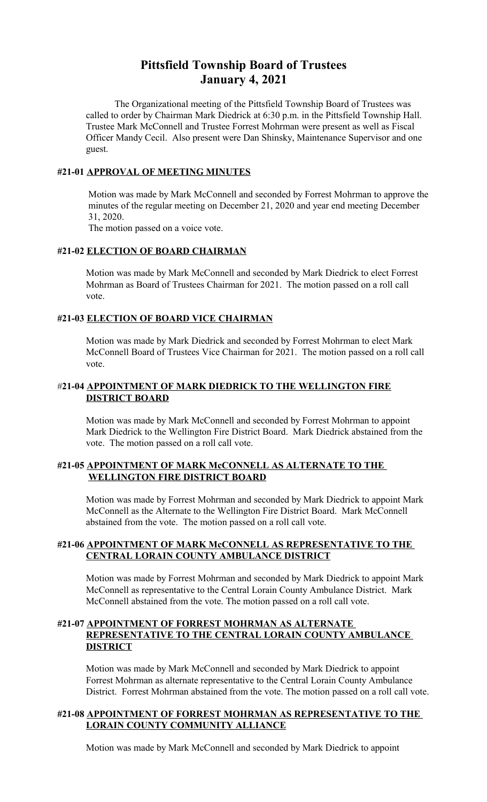# **Pittsfield Township Board of Trustees January 4, 2021**

The Organizational meeting of the Pittsfield Township Board of Trustees was called to order by Chairman Mark Diedrick at 6:30 p.m. in the Pittsfield Township Hall. Trustee Mark McConnell and Trustee Forrest Mohrman were present as well as Fiscal Officer Mandy Cecil. Also present were Dan Shinsky, Maintenance Supervisor and one guest.

#### **#21-01 APPROVAL OF MEETING MINUTES**

 Motion was made by Mark McConnell and seconded by Forrest Mohrman to approve the minutes of the regular meeting on December 21, 2020 and year end meeting December 31, 2020.

The motion passed on a voice vote.

#### **#21-02 ELECTION OF BOARD CHAIRMAN**

Motion was made by Mark McConnell and seconded by Mark Diedrick to elect Forrest Mohrman as Board of Trustees Chairman for 2021. The motion passed on a roll call vote.

#### **#21-03 ELECTION OF BOARD VICE CHAIRMAN**

Motion was made by Mark Diedrick and seconded by Forrest Mohrman to elect Mark McConnell Board of Trustees Vice Chairman for 2021. The motion passed on a roll call vote.

## #**21-04 APPOINTMENT OF MARK DIEDRICK TO THE WELLINGTON FIRE DISTRICT BOARD**

Motion was made by Mark McConnell and seconded by Forrest Mohrman to appoint Mark Diedrick to the Wellington Fire District Board. Mark Diedrick abstained from the vote. The motion passed on a roll call vote.

## **#21-05 APPOINTMENT OF MARK McCONNELL AS ALTERNATE TO THE WELLINGTON FIRE DISTRICT BOARD**

Motion was made by Forrest Mohrman and seconded by Mark Diedrick to appoint Mark McConnell as the Alternate to the Wellington Fire District Board. Mark McConnell abstained from the vote. The motion passed on a roll call vote.

#### **#21-06 APPOINTMENT OF MARK McCONNELL AS REPRESENTATIVE TO THE CENTRAL LORAIN COUNTY AMBULANCE DISTRICT**

Motion was made by Forrest Mohrman and seconded by Mark Diedrick to appoint Mark McConnell as representative to the Central Lorain County Ambulance District. Mark McConnell abstained from the vote. The motion passed on a roll call vote.

#### **#21-07 APPOINTMENT OF FORREST MOHRMAN AS ALTERNATE REPRESENTATIVE TO THE CENTRAL LORAIN COUNTY AMBULANCE DISTRICT**

Motion was made by Mark McConnell and seconded by Mark Diedrick to appoint Forrest Mohrman as alternate representative to the Central Lorain County Ambulance District. Forrest Mohrman abstained from the vote. The motion passed on a roll call vote.

## **#21-08 APPOINTMENT OF FORREST MOHRMAN AS REPRESENTATIVE TO THE LORAIN COUNTY COMMUNITY ALLIANCE**

Motion was made by Mark McConnell and seconded by Mark Diedrick to appoint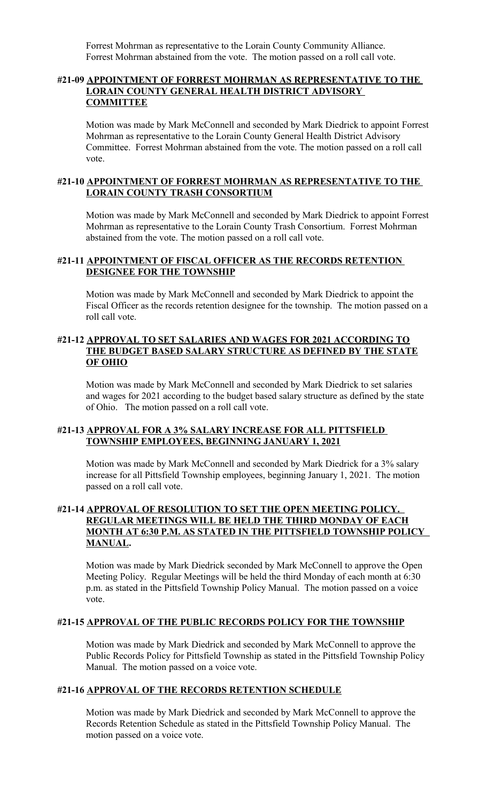Forrest Mohrman as representative to the Lorain County Community Alliance. Forrest Mohrman abstained from the vote. The motion passed on a roll call vote.

#### **#21-09 APPOINTMENT OF FORREST MOHRMAN AS REPRESENTATIVE TO THE LORAIN COUNTY GENERAL HEALTH DISTRICT ADVISORY COMMITTEE**

Motion was made by Mark McConnell and seconded by Mark Diedrick to appoint Forrest Mohrman as representative to the Lorain County General Health District Advisory Committee. Forrest Mohrman abstained from the vote. The motion passed on a roll call vote.

#### **#21-10 APPOINTMENT OF FORREST MOHRMAN AS REPRESENTATIVE TO THE LORAIN COUNTY TRASH CONSORTIUM**

Motion was made by Mark McConnell and seconded by Mark Diedrick to appoint Forrest Mohrman as representative to the Lorain County Trash Consortium. Forrest Mohrman abstained from the vote. The motion passed on a roll call vote.

## **#21-11 APPOINTMENT OF FISCAL OFFICER AS THE RECORDS RETENTION DESIGNEE FOR THE TOWNSHIP**

Motion was made by Mark McConnell and seconded by Mark Diedrick to appoint the Fiscal Officer as the records retention designee for the township. The motion passed on a roll call vote.

#### **#21-12 APPROVAL TO SET SALARIES AND WAGES FOR 2021 ACCORDING TO THE BUDGET BASED SALARY STRUCTURE AS DEFINED BY THE STATE OF OHIO**

Motion was made by Mark McConnell and seconded by Mark Diedrick to set salaries and wages for 2021 according to the budget based salary structure as defined by the state of Ohio. The motion passed on a roll call vote.

#### **#21-13 APPROVAL FOR A 3% SALARY INCREASE FOR ALL PITTSFIELD TOWNSHIP EMPLOYEES, BEGINNING JANUARY 1, 2021**

Motion was made by Mark McConnell and seconded by Mark Diedrick for a 3% salary increase for all Pittsfield Township employees, beginning January 1, 2021. The motion passed on a roll call vote.

## **#21-14 APPROVAL OF RESOLUTION TO SET THE OPEN MEETING POLICY. REGULAR MEETINGS WILL BE HELD THE THIRD MONDAY OF EACH MONTH AT 6:30 P.M. AS STATED IN THE PITTSFIELD TOWNSHIP POLICY MANUAL.**

Motion was made by Mark Diedrick seconded by Mark McConnell to approve the Open Meeting Policy. Regular Meetings will be held the third Monday of each month at 6:30 p.m. as stated in the Pittsfield Township Policy Manual. The motion passed on a voice vote.

#### **#21-15 APPROVAL OF THE PUBLIC RECORDS POLICY FOR THE TOWNSHIP**

Motion was made by Mark Diedrick and seconded by Mark McConnell to approve the Public Records Policy for Pittsfield Township as stated in the Pittsfield Township Policy Manual. The motion passed on a voice vote.

#### **#21-16 APPROVAL OF THE RECORDS RETENTION SCHEDULE**

Motion was made by Mark Diedrick and seconded by Mark McConnell to approve the Records Retention Schedule as stated in the Pittsfield Township Policy Manual. The motion passed on a voice vote.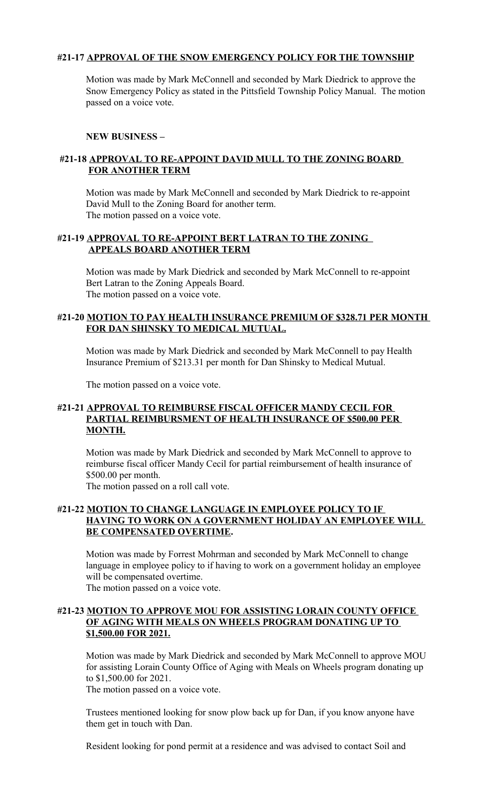## **#21-17 APPROVAL OF THE SNOW EMERGENCY POLICY FOR THE TOWNSHIP**

Motion was made by Mark McConnell and seconded by Mark Diedrick to approve the Snow Emergency Policy as stated in the Pittsfield Township Policy Manual. The motion passed on a voice vote.

## **NEW BUSINESS –**

# **#21-18 APPROVAL TO RE-APPOINT DAVID MULL TO THE ZONING BOARD FOR ANOTHER TERM**

Motion was made by Mark McConnell and seconded by Mark Diedrick to re-appoint David Mull to the Zoning Board for another term. The motion passed on a voice vote.

## **#21-19 APPROVAL TO RE-APPOINT BERT LATRAN TO THE ZONING APPEALS BOARD ANOTHER TERM**

Motion was made by Mark Diedrick and seconded by Mark McConnell to re-appoint Bert Latran to the Zoning Appeals Board. The motion passed on a voice vote.

## **#21-20 MOTION TO PAY HEALTH INSURANCE PREMIUM OF \$328.71 PER MONTH FOR DAN SHINSKY TO MEDICAL MUTUAL.**

Motion was made by Mark Diedrick and seconded by Mark McConnell to pay Health Insurance Premium of \$213.31 per month for Dan Shinsky to Medical Mutual.

The motion passed on a voice vote.

### **#21-21 APPROVAL TO REIMBURSE FISCAL OFFICER MANDY CECIL FOR PARTIAL REIMBURSMENT OF HEALTH INSURANCE OF \$500.00 PER MONTH.**

Motion was made by Mark Diedrick and seconded by Mark McConnell to approve to reimburse fiscal officer Mandy Cecil for partial reimbursement of health insurance of \$500.00 per month.

The motion passed on a roll call vote.

# **#21-22 MOTION TO CHANGE LANGUAGE IN EMPLOYEE POLICY TO IF HAVING TO WORK ON A GOVERNMENT HOLIDAY AN EMPLOYEE WILL BE COMPENSATED OVERTIME.**

Motion was made by Forrest Mohrman and seconded by Mark McConnell to change language in employee policy to if having to work on a government holiday an employee will be compensated overtime.

The motion passed on a voice vote.

## **#21-23 MOTION TO APPROVE MOU FOR ASSISTING LORAIN COUNTY OFFICE OF AGING WITH MEALS ON WHEELS PROGRAM DONATING UP TO \$1,500.00 FOR 2021.**

Motion was made by Mark Diedrick and seconded by Mark McConnell to approve MOU for assisting Lorain County Office of Aging with Meals on Wheels program donating up to \$1,500.00 for 2021.

The motion passed on a voice vote.

Trustees mentioned looking for snow plow back up for Dan, if you know anyone have them get in touch with Dan.

Resident looking for pond permit at a residence and was advised to contact Soil and